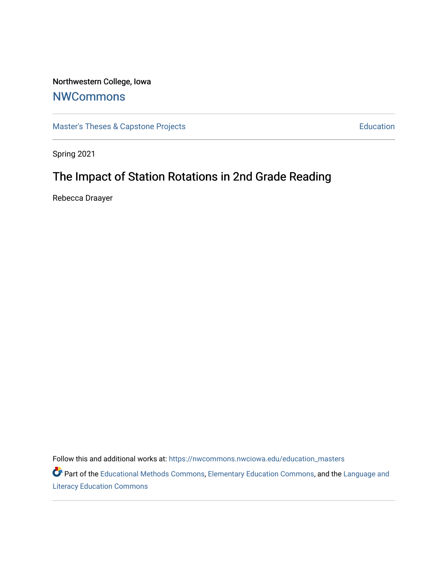# Northwestern College, Iowa

## **[NWCommons](https://nwcommons.nwciowa.edu/)**

[Master's Theses & Capstone Projects](https://nwcommons.nwciowa.edu/education_masters) **Education** Education

Spring 2021

# The Impact of Station Rotations in 2nd Grade Reading

Rebecca Draayer

Follow this and additional works at: [https://nwcommons.nwciowa.edu/education\\_masters](https://nwcommons.nwciowa.edu/education_masters?utm_source=nwcommons.nwciowa.edu%2Feducation_masters%2F275&utm_medium=PDF&utm_campaign=PDFCoverPages)

Part of the [Educational Methods Commons,](http://network.bepress.com/hgg/discipline/1227?utm_source=nwcommons.nwciowa.edu%2Feducation_masters%2F275&utm_medium=PDF&utm_campaign=PDFCoverPages) [Elementary Education Commons,](http://network.bepress.com/hgg/discipline/1378?utm_source=nwcommons.nwciowa.edu%2Feducation_masters%2F275&utm_medium=PDF&utm_campaign=PDFCoverPages) and the [Language and](http://network.bepress.com/hgg/discipline/1380?utm_source=nwcommons.nwciowa.edu%2Feducation_masters%2F275&utm_medium=PDF&utm_campaign=PDFCoverPages) [Literacy Education Commons](http://network.bepress.com/hgg/discipline/1380?utm_source=nwcommons.nwciowa.edu%2Feducation_masters%2F275&utm_medium=PDF&utm_campaign=PDFCoverPages)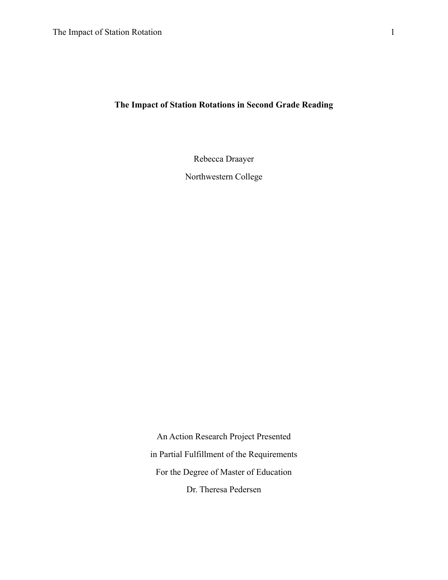### **The Impact of Station Rotations in Second Grade Reading**

Rebecca Draayer

Northwestern College

An Action Research Project Presented in Partial Fulfillment of the Requirements For the Degree of Master of Education Dr. Theresa Pedersen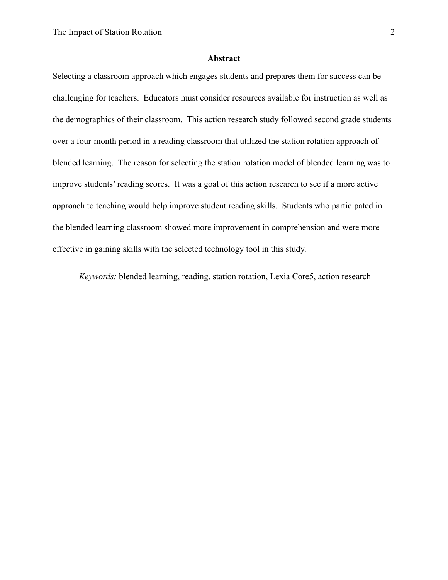#### **Abstract**

Selecting a classroom approach which engages students and prepares them for success can be challenging for teachers. Educators must consider resources available for instruction as well as the demographics of their classroom. This action research study followed second grade students over a four-month period in a reading classroom that utilized the station rotation approach of blended learning. The reason for selecting the station rotation model of blended learning was to improve students' reading scores. It was a goal of this action research to see if a more active approach to teaching would help improve student reading skills. Students who participated in the blended learning classroom showed more improvement in comprehension and were more effective in gaining skills with the selected technology tool in this study.

*Keywords:* blended learning, reading, station rotation, Lexia Core5, action research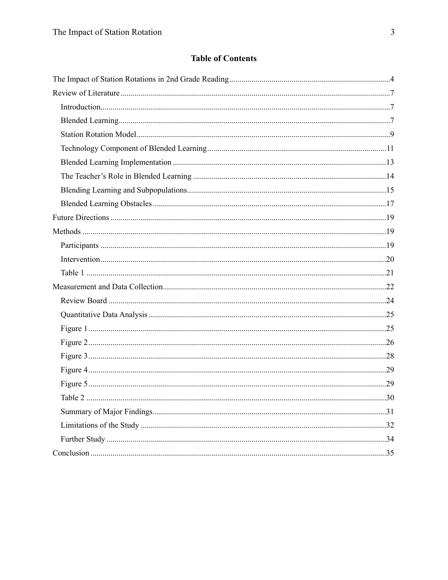## **Table of Contents**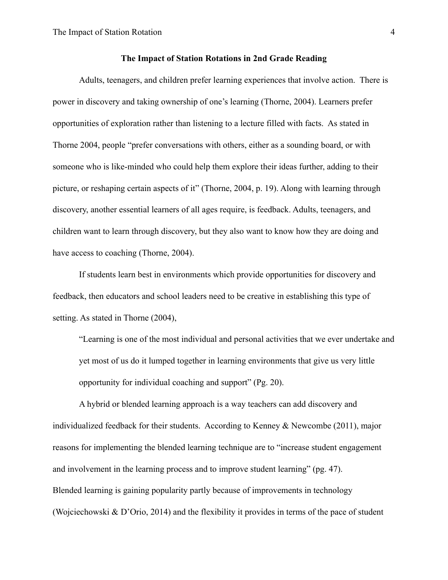#### <span id="page-4-0"></span>**The Impact of Station Rotations in 2nd Grade Reading**

Adults, teenagers, and children prefer learning experiences that involve action. There is power in discovery and taking ownership of one's learning (Thorne, 2004). Learners prefer opportunities of exploration rather than listening to a lecture filled with facts. As stated in Thorne 2004, people "prefer conversations with others, either as a sounding board, or with someone who is like-minded who could help them explore their ideas further, adding to their picture, or reshaping certain aspects of it" (Thorne, 2004, p. 19). Along with learning through discovery, another essential learners of all ages require, is feedback. Adults, teenagers, and children want to learn through discovery, but they also want to know how they are doing and have access to coaching (Thorne, 2004).

If students learn best in environments which provide opportunities for discovery and feedback, then educators and school leaders need to be creative in establishing this type of setting. As stated in Thorne (2004),

"Learning is one of the most individual and personal activities that we ever undertake and yet most of us do it lumped together in learning environments that give us very little opportunity for individual coaching and support" (Pg. 20).

 A hybrid or blended learning approach is a way teachers can add discovery and individualized feedback for their students. According to Kenney & Newcombe (2011), major reasons for implementing the blended learning technique are to "increase student engagement and involvement in the learning process and to improve student learning" (pg. 47). Blended learning is gaining popularity partly because of improvements in technology (Wojciechowski & D'Orio, 2014) and the flexibility it provides in terms of the pace of student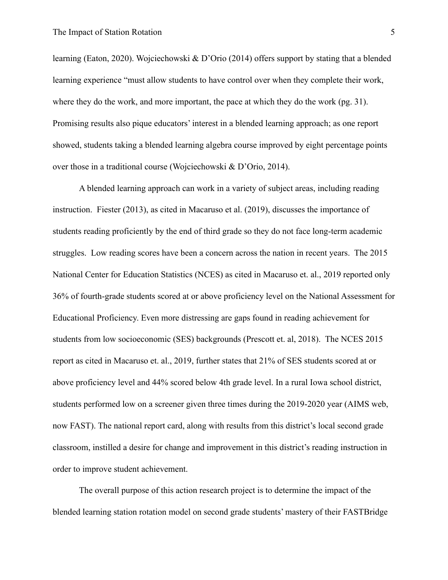learning (Eaton, 2020). Wojciechowski & D'Orio (2014) offers support by stating that a blended learning experience "must allow students to have control over when they complete their work, where they do the work, and more important, the pace at which they do the work (pg. 31). Promising results also pique educators' interest in a blended learning approach; as one report showed, students taking a blended learning algebra course improved by eight percentage points over those in a traditional course (Wojciechowski & D'Orio, 2014).

 A blended learning approach can work in a variety of subject areas, including reading instruction. Fiester (2013), as cited in Macaruso et al. (2019), discusses the importance of students reading proficiently by the end of third grade so they do not face long-term academic struggles. Low reading scores have been a concern across the nation in recent years. The 2015 National Center for Education Statistics (NCES) as cited in Macaruso et. al., 2019 reported only 36% of fourth-grade students scored at or above proficiency level on the National Assessment for Educational Proficiency. Even more distressing are gaps found in reading achievement for students from low socioeconomic (SES) backgrounds (Prescott et. al, 2018). The NCES 2015 report as cited in Macaruso et. al., 2019, further states that 21% of SES students scored at or above proficiency level and 44% scored below 4th grade level. In a rural Iowa school district, students performed low on a screener given three times during the 2019-2020 year (AIMS web, now FAST). The national report card, along with results from this district's local second grade classroom, instilled a desire for change and improvement in this district's reading instruction in order to improve student achievement.

The overall purpose of this action research project is to determine the impact of the blended learning station rotation model on second grade students' mastery of their FASTBridge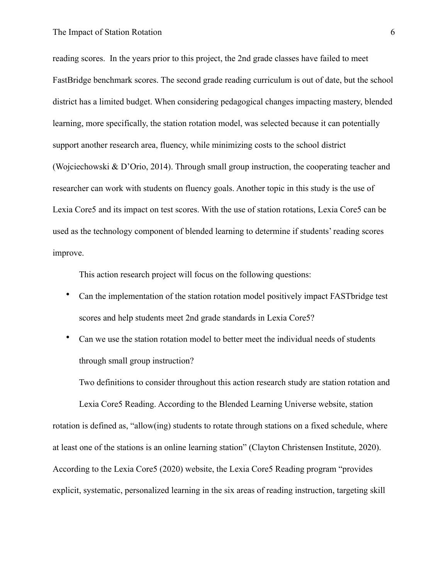#### The Impact of Station Rotation 6

reading scores. In the years prior to this project, the 2nd grade classes have failed to meet FastBridge benchmark scores. The second grade reading curriculum is out of date, but the school district has a limited budget. When considering pedagogical changes impacting mastery, blended learning, more specifically, the station rotation model, was selected because it can potentially support another research area, fluency, while minimizing costs to the school district (Wojciechowski & D'Orio, 2014). Through small group instruction, the cooperating teacher and researcher can work with students on fluency goals. Another topic in this study is the use of Lexia Core5 and its impact on test scores. With the use of station rotations, Lexia Core5 can be used as the technology component of blended learning to determine if students' reading scores improve.

This action research project will focus on the following questions:

- Can the implementation of the station rotation model positively impact FASTbridge test scores and help students meet 2nd grade standards in Lexia Core5?
- Can we use the station rotation model to better meet the individual needs of students through small group instruction?

Two definitions to consider throughout this action research study are station rotation and

 Lexia Core5 Reading. According to the Blended Learning Universe website, station rotation is defined as, "allow(ing) students to rotate through stations on a fixed schedule, where at least one of the stations is an online learning station" (Clayton Christensen Institute, 2020). According to the Lexia Core5 (2020) website, the Lexia Core5 Reading program "provides explicit, systematic, personalized learning in the six areas of reading instruction, targeting skill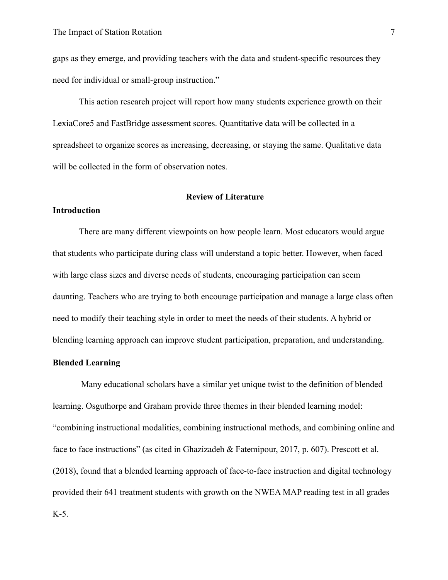gaps as they emerge, and providing teachers with the data and student-specific resources they need for individual or small-group instruction."

This action research project will report how many students experience growth on their LexiaCore5 and FastBridge assessment scores. Quantitative data will be collected in a spreadsheet to organize scores as increasing, decreasing, or staying the same. Qualitative data will be collected in the form of observation notes.

#### <span id="page-7-0"></span> **Review of Literature**

#### <span id="page-7-1"></span>**Introduction**

There are many different viewpoints on how people learn. Most educators would argue that students who participate during class will understand a topic better. However, when faced with large class sizes and diverse needs of students, encouraging participation can seem daunting. Teachers who are trying to both encourage participation and manage a large class often need to modify their teaching style in order to meet the needs of their students. A hybrid or blending learning approach can improve student participation, preparation, and understanding.

#### <span id="page-7-2"></span>**Blended Learning**

 Many educational scholars have a similar yet unique twist to the definition of blended learning. Osguthorpe and Graham provide three themes in their blended learning model: "combining instructional modalities, combining instructional methods, and combining online and face to face instructions" (as cited in Ghazizadeh & Fatemipour, 2017, p. 607). Prescott et al. (2018), found that a blended learning approach of face-to-face instruction and digital technology provided their 641 treatment students with growth on the NWEA MAP reading test in all grades K-5.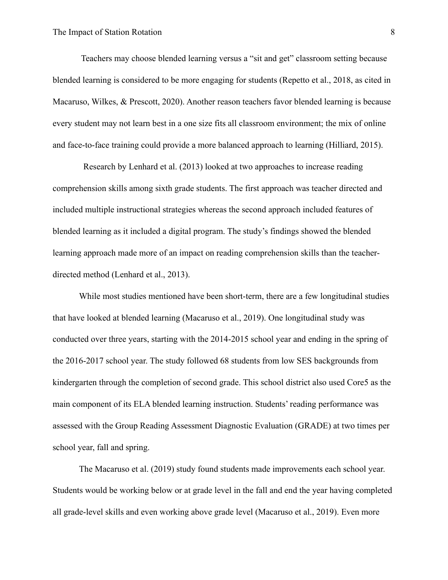Teachers may choose blended learning versus a "sit and get" classroom setting because blended learning is considered to be more engaging for students (Repetto et al., 2018, as cited in Macaruso, Wilkes, & Prescott, 2020). Another reason teachers favor blended learning is because every student may not learn best in a one size fits all classroom environment; the mix of online and face-to-face training could provide a more balanced approach to learning (Hilliard, 2015).

 Research by Lenhard et al. (2013) looked at two approaches to increase reading comprehension skills among sixth grade students. The first approach was teacher directed and included multiple instructional strategies whereas the second approach included features of blended learning as it included a digital program. The study's findings showed the blended learning approach made more of an impact on reading comprehension skills than the teacherdirected method (Lenhard et al., 2013).

While most studies mentioned have been short-term, there are a few longitudinal studies that have looked at blended learning (Macaruso et al., 2019). One longitudinal study was conducted over three years, starting with the 2014-2015 school year and ending in the spring of the 2016-2017 school year. The study followed 68 students from low SES backgrounds from kindergarten through the completion of second grade. This school district also used Core5 as the main component of its ELA blended learning instruction. Students' reading performance was assessed with the Group Reading Assessment Diagnostic Evaluation (GRADE) at two times per school year, fall and spring.

The Macaruso et al. (2019) study found students made improvements each school year. Students would be working below or at grade level in the fall and end the year having completed all grade-level skills and even working above grade level (Macaruso et al., 2019). Even more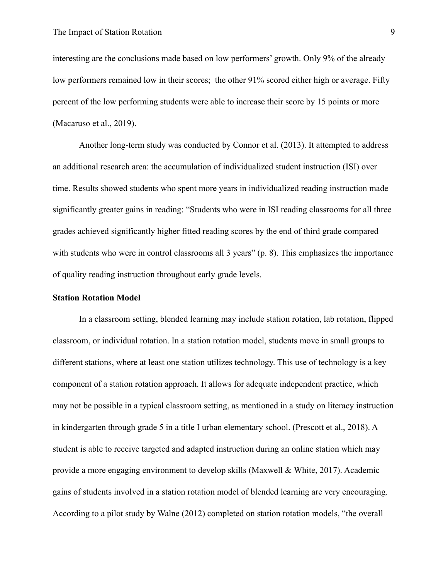interesting are the conclusions made based on low performers' growth. Only 9% of the already low performers remained low in their scores; the other 91% scored either high or average. Fifty percent of the low performing students were able to increase their score by 15 points or more (Macaruso et al., 2019).

Another long-term study was conducted by Connor et al. (2013). It attempted to address an additional research area: the accumulation of individualized student instruction (ISI) over time. Results showed students who spent more years in individualized reading instruction made significantly greater gains in reading: "Students who were in ISI reading classrooms for all three grades achieved significantly higher fitted reading scores by the end of third grade compared with students who were in control classrooms all 3 years" (p. 8). This emphasizes the importance of quality reading instruction throughout early grade levels.

#### <span id="page-9-0"></span>**Station Rotation Model**

In a classroom setting, blended learning may include station rotation, lab rotation, flipped classroom, or individual rotation. In a station rotation model, students move in small groups to different stations, where at least one station utilizes technology. This use of technology is a key component of a station rotation approach. It allows for adequate independent practice, which may not be possible in a typical classroom setting, as mentioned in a study on literacy instruction in kindergarten through grade 5 in a title I urban elementary school. (Prescott et al., 2018). A student is able to receive targeted and adapted instruction during an online station which may provide a more engaging environment to develop skills (Maxwell & White, 2017). Academic gains of students involved in a station rotation model of blended learning are very encouraging. According to a pilot study by Walne (2012) completed on station rotation models, "the overall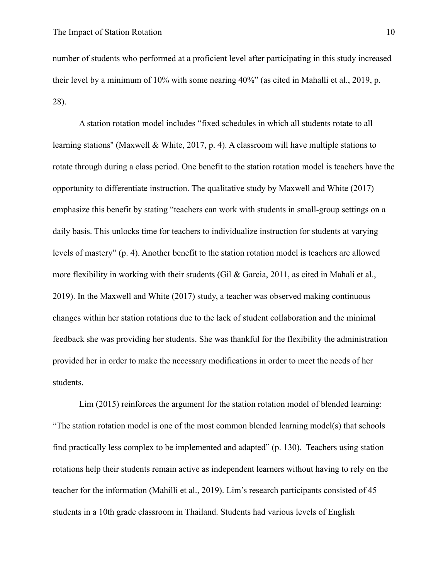number of students who performed at a proficient level after participating in this study increased their level by a minimum of 10% with some nearing 40%" (as cited in Mahalli et al., 2019, p. 28).

A station rotation model includes "fixed schedules in which all students rotate to all learning stations'' (Maxwell & White, 2017, p. 4). A classroom will have multiple stations to rotate through during a class period. One benefit to the station rotation model is teachers have the opportunity to differentiate instruction. The qualitative study by Maxwell and White (2017) emphasize this benefit by stating "teachers can work with students in small-group settings on a daily basis. This unlocks time for teachers to individualize instruction for students at varying levels of mastery" (p. 4). Another benefit to the station rotation model is teachers are allowed more flexibility in working with their students (Gil & Garcia, 2011, as cited in Mahali et al., 2019). In the Maxwell and White (2017) study, a teacher was observed making continuous changes within her station rotations due to the lack of student collaboration and the minimal feedback she was providing her students. She was thankful for the flexibility the administration provided her in order to make the necessary modifications in order to meet the needs of her students.

Lim (2015) reinforces the argument for the station rotation model of blended learning: "The station rotation model is one of the most common blended learning model(s) that schools find practically less complex to be implemented and adapted" (p. 130). Teachers using station rotations help their students remain active as independent learners without having to rely on the teacher for the information (Mahilli et al., 2019). Lim's research participants consisted of 45 students in a 10th grade classroom in Thailand. Students had various levels of English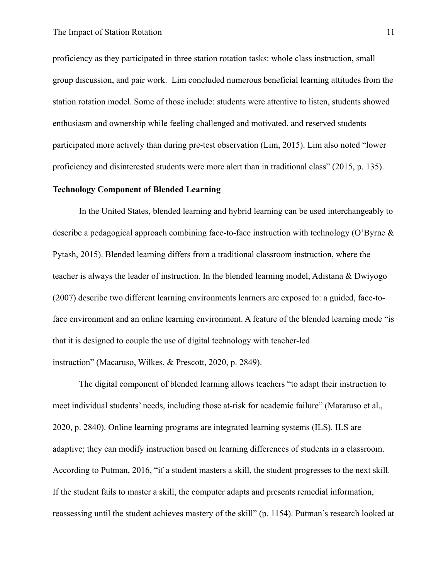proficiency as they participated in three station rotation tasks: whole class instruction, small group discussion, and pair work. Lim concluded numerous beneficial learning attitudes from the station rotation model. Some of those include: students were attentive to listen, students showed enthusiasm and ownership while feeling challenged and motivated, and reserved students participated more actively than during pre-test observation (Lim, 2015). Lim also noted "lower proficiency and disinterested students were more alert than in traditional class" (2015, p. 135).

#### <span id="page-11-0"></span>**Technology Component of Blended Learning**

In the United States, blended learning and hybrid learning can be used interchangeably to describe a pedagogical approach combining face-to-face instruction with technology (O'Byrne & Pytash, 2015). Blended learning differs from a traditional classroom instruction, where the teacher is always the leader of instruction. In the blended learning model, Adistana & Dwiyogo (2007) describe two different learning environments learners are exposed to: a guided, face-toface environment and an online learning environment. A feature of the blended learning mode "is that it is designed to couple the use of digital technology with teacher-led instruction" (Macaruso, Wilkes, & Prescott, 2020, p. 2849).

The digital component of blended learning allows teachers "to adapt their instruction to meet individual students' needs, including those at-risk for academic failure" (Mararuso et al., 2020, p. 2840). Online learning programs are integrated learning systems (ILS). ILS are adaptive; they can modify instruction based on learning differences of students in a classroom. According to Putman, 2016, "if a student masters a skill, the student progresses to the next skill. If the student fails to master a skill, the computer adapts and presents remedial information, reassessing until the student achieves mastery of the skill" (p. 1154). Putman's research looked at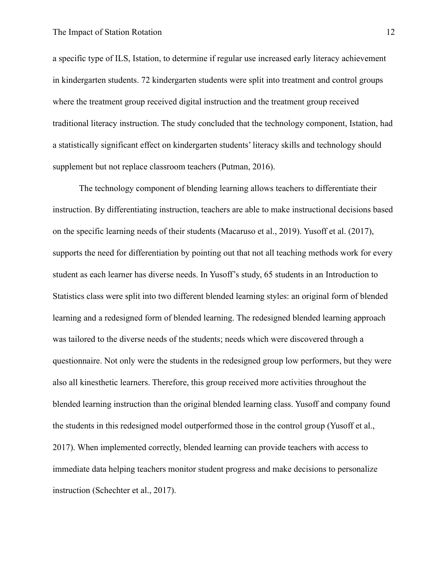a specific type of ILS, Istation, to determine if regular use increased early literacy achievement in kindergarten students. 72 kindergarten students were split into treatment and control groups where the treatment group received digital instruction and the treatment group received traditional literacy instruction. The study concluded that the technology component, Istation, had a statistically significant effect on kindergarten students' literacy skills and technology should supplement but not replace classroom teachers (Putman, 2016).

The technology component of blending learning allows teachers to differentiate their instruction. By differentiating instruction, teachers are able to make instructional decisions based on the specific learning needs of their students (Macaruso et al., 2019). Yusoff et al. (2017), supports the need for differentiation by pointing out that not all teaching methods work for every student as each learner has diverse needs. In Yusoff's study, 65 students in an Introduction to Statistics class were split into two different blended learning styles: an original form of blended learning and a redesigned form of blended learning. The redesigned blended learning approach was tailored to the diverse needs of the students; needs which were discovered through a questionnaire. Not only were the students in the redesigned group low performers, but they were also all kinesthetic learners. Therefore, this group received more activities throughout the blended learning instruction than the original blended learning class. Yusoff and company found the students in this redesigned model outperformed those in the control group (Yusoff et al., 2017). When implemented correctly, blended learning can provide teachers with access to immediate data helping teachers monitor student progress and make decisions to personalize instruction (Schechter et al., 2017).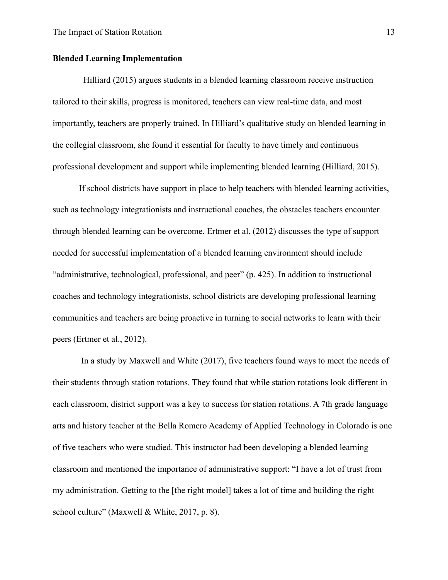#### <span id="page-13-0"></span>**Blended Learning Implementation**

 Hilliard (2015) argues students in a blended learning classroom receive instruction tailored to their skills, progress is monitored, teachers can view real-time data, and most importantly, teachers are properly trained. In Hilliard's qualitative study on blended learning in the collegial classroom, she found it essential for faculty to have timely and continuous professional development and support while implementing blended learning (Hilliard, 2015).

If school districts have support in place to help teachers with blended learning activities, such as technology integrationists and instructional coaches, the obstacles teachers encounter through blended learning can be overcome. Ertmer et al. (2012) discusses the type of support needed for successful implementation of a blended learning environment should include "administrative, technological, professional, and peer" (p. 425). In addition to instructional coaches and technology integrationists, school districts are developing professional learning communities and teachers are being proactive in turning to social networks to learn with their peers (Ertmer et al., 2012).

 In a study by Maxwell and White (2017), five teachers found ways to meet the needs of their students through station rotations. They found that while station rotations look different in each classroom, district support was a key to success for station rotations. A 7th grade language arts and history teacher at the Bella Romero Academy of Applied Technology in Colorado is one of five teachers who were studied. This instructor had been developing a blended learning classroom and mentioned the importance of administrative support: "I have a lot of trust from my administration. Getting to the [the right model] takes a lot of time and building the right school culture" (Maxwell & White, 2017, p. 8).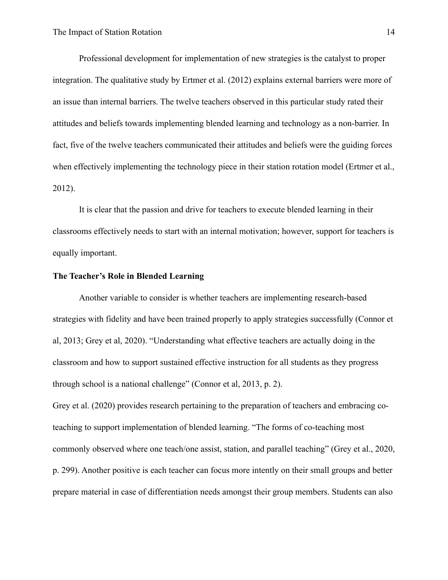Professional development for implementation of new strategies is the catalyst to proper integration. The qualitative study by Ertmer et al. (2012) explains external barriers were more of an issue than internal barriers. The twelve teachers observed in this particular study rated their attitudes and beliefs towards implementing blended learning and technology as a non-barrier. In fact, five of the twelve teachers communicated their attitudes and beliefs were the guiding forces when effectively implementing the technology piece in their station rotation model (Ertmer et al., 2012).

It is clear that the passion and drive for teachers to execute blended learning in their classrooms effectively needs to start with an internal motivation; however, support for teachers is equally important.

#### <span id="page-14-0"></span>**The Teacher's Role in Blended Learning**

Another variable to consider is whether teachers are implementing research-based strategies with fidelity and have been trained properly to apply strategies successfully (Connor et al, 2013; Grey et al, 2020). "Understanding what effective teachers are actually doing in the classroom and how to support sustained effective instruction for all students as they progress through school is a national challenge" (Connor et al, 2013, p. 2).

Grey et al. (2020) provides research pertaining to the preparation of teachers and embracing coteaching to support implementation of blended learning. "The forms of co-teaching most commonly observed where one teach/one assist, station, and parallel teaching" (Grey et al., 2020, p. 299). Another positive is each teacher can focus more intently on their small groups and better prepare material in case of differentiation needs amongst their group members. Students can also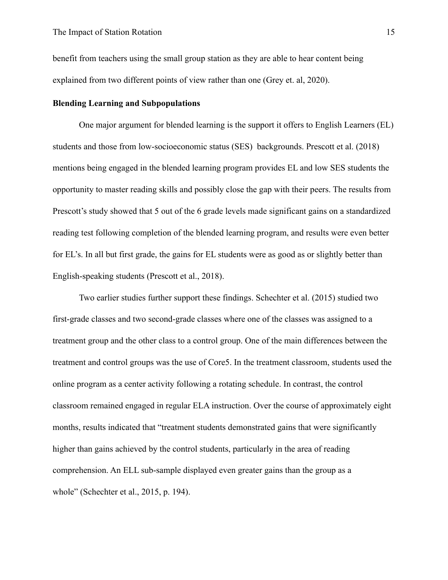benefit from teachers using the small group station as they are able to hear content being explained from two different points of view rather than one (Grey et. al, 2020).

#### <span id="page-15-0"></span>**Blending Learning and Subpopulations**

One major argument for blended learning is the support it offers to English Learners (EL) students and those from low-socioeconomic status (SES) backgrounds. Prescott et al. (2018) mentions being engaged in the blended learning program provides EL and low SES students the opportunity to master reading skills and possibly close the gap with their peers. The results from Prescott's study showed that 5 out of the 6 grade levels made significant gains on a standardized reading test following completion of the blended learning program, and results were even better for EL's. In all but first grade, the gains for EL students were as good as or slightly better than English-speaking students (Prescott et al., 2018).

 Two earlier studies further support these findings. Schechter et al. (2015) studied two first-grade classes and two second-grade classes where one of the classes was assigned to a treatment group and the other class to a control group. One of the main differences between the treatment and control groups was the use of Core5. In the treatment classroom, students used the online program as a center activity following a rotating schedule. In contrast, the control classroom remained engaged in regular ELA instruction. Over the course of approximately eight months, results indicated that "treatment students demonstrated gains that were significantly higher than gains achieved by the control students, particularly in the area of reading comprehension. An ELL sub-sample displayed even greater gains than the group as a whole" (Schechter et al., 2015, p. 194).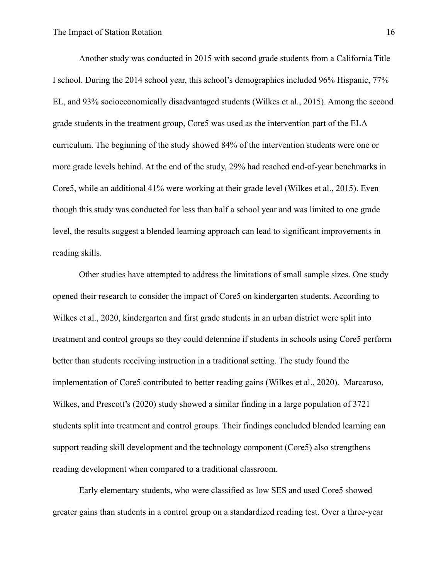Another study was conducted in 2015 with second grade students from a California Title I school. During the 2014 school year, this school's demographics included 96% Hispanic, 77% EL, and 93% socioeconomically disadvantaged students (Wilkes et al., 2015). Among the second grade students in the treatment group, Core5 was used as the intervention part of the ELA curriculum. The beginning of the study showed 84% of the intervention students were one or more grade levels behind. At the end of the study, 29% had reached end-of-year benchmarks in Core5, while an additional 41% were working at their grade level (Wilkes et al., 2015). Even though this study was conducted for less than half a school year and was limited to one grade level, the results suggest a blended learning approach can lead to significant improvements in reading skills.

Other studies have attempted to address the limitations of small sample sizes. One study opened their research to consider the impact of Core5 on kindergarten students. According to Wilkes et al., 2020, kindergarten and first grade students in an urban district were split into treatment and control groups so they could determine if students in schools using Core5 perform better than students receiving instruction in a traditional setting. The study found the implementation of Core5 contributed to better reading gains (Wilkes et al., 2020). Marcaruso, Wilkes, and Prescott's (2020) study showed a similar finding in a large population of 3721 students split into treatment and control groups. Their findings concluded blended learning can support reading skill development and the technology component (Core5) also strengthens reading development when compared to a traditional classroom.

Early elementary students, who were classified as low SES and used Core5 showed greater gains than students in a control group on a standardized reading test. Over a three-year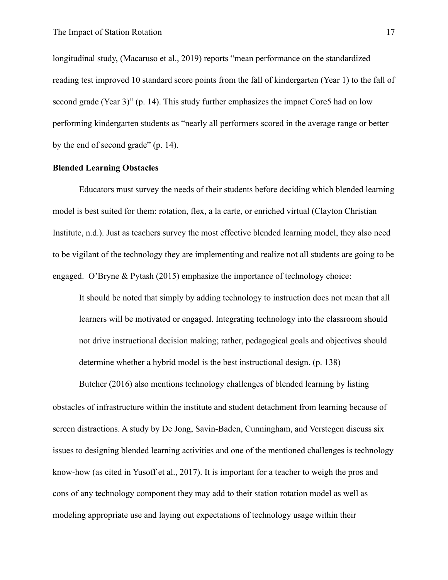longitudinal study, (Macaruso et al., 2019) reports "mean performance on the standardized reading test improved 10 standard score points from the fall of kindergarten (Year 1) to the fall of second grade (Year 3)" (p. 14). This study further emphasizes the impact Core5 had on low performing kindergarten students as "nearly all performers scored in the average range or better by the end of second grade" (p. 14).

#### <span id="page-17-0"></span>**Blended Learning Obstacles**

Educators must survey the needs of their students before deciding which blended learning model is best suited for them: rotation, flex, a la carte, or enriched virtual (Clayton Christian Institute, n.d.). Just as teachers survey the most effective blended learning model, they also need to be vigilant of the technology they are implementing and realize not all students are going to be engaged. O'Bryne & Pytash (2015) emphasize the importance of technology choice:

It should be noted that simply by adding technology to instruction does not mean that all learners will be motivated or engaged. Integrating technology into the classroom should not drive instructional decision making; rather, pedagogical goals and objectives should determine whether a hybrid model is the best instructional design. (p. 138)

Butcher (2016) also mentions technology challenges of blended learning by listing obstacles of infrastructure within the institute and student detachment from learning because of screen distractions. A study by De Jong, Savin-Baden, Cunningham, and Verstegen discuss six issues to designing blended learning activities and one of the mentioned challenges is technology know-how (as cited in Yusoff et al., 2017). It is important for a teacher to weigh the pros and cons of any technology component they may add to their station rotation model as well as modeling appropriate use and laying out expectations of technology usage within their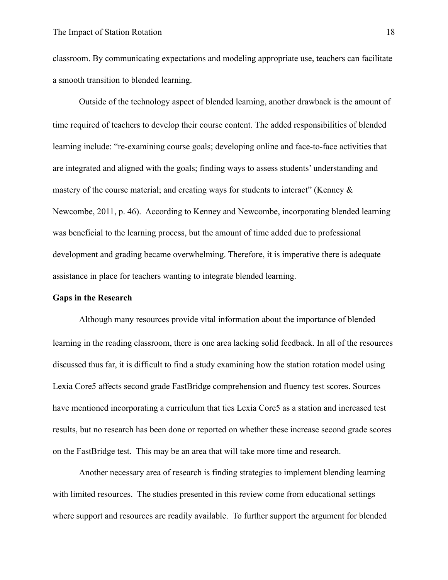classroom. By communicating expectations and modeling appropriate use, teachers can facilitate a smooth transition to blended learning.

Outside of the technology aspect of blended learning, another drawback is the amount of time required of teachers to develop their course content. The added responsibilities of blended learning include: "re-examining course goals; developing online and face-to-face activities that are integrated and aligned with the goals; finding ways to assess students' understanding and mastery of the course material; and creating ways for students to interact" (Kenney  $\&$ Newcombe, 2011, p. 46). According to Kenney and Newcombe, incorporating blended learning was beneficial to the learning process, but the amount of time added due to professional development and grading became overwhelming. Therefore, it is imperative there is adequate assistance in place for teachers wanting to integrate blended learning.

#### **Gaps in the Research**

Although many resources provide vital information about the importance of blended learning in the reading classroom, there is one area lacking solid feedback. In all of the resources discussed thus far, it is difficult to find a study examining how the station rotation model using Lexia Core5 affects second grade FastBridge comprehension and fluency test scores. Sources have mentioned incorporating a curriculum that ties Lexia Core5 as a station and increased test results, but no research has been done or reported on whether these increase second grade scores on the FastBridge test. This may be an area that will take more time and research.

Another necessary area of research is finding strategies to implement blending learning with limited resources. The studies presented in this review come from educational settings where support and resources are readily available. To further support the argument for blended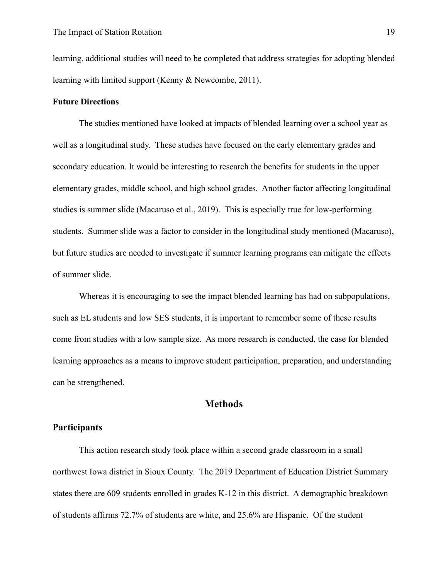learning, additional studies will need to be completed that address strategies for adopting blended learning with limited support (Kenny & Newcombe, 2011).

#### <span id="page-19-0"></span>**Future Directions**

The studies mentioned have looked at impacts of blended learning over a school year as well as a longitudinal study. These studies have focused on the early elementary grades and secondary education. It would be interesting to research the benefits for students in the upper elementary grades, middle school, and high school grades. Another factor affecting longitudinal studies is summer slide (Macaruso et al., 2019). This is especially true for low-performing students. Summer slide was a factor to consider in the longitudinal study mentioned (Macaruso), but future studies are needed to investigate if summer learning programs can mitigate the effects of summer slide.

Whereas it is encouraging to see the impact blended learning has had on subpopulations, such as EL students and low SES students, it is important to remember some of these results come from studies with a low sample size. As more research is conducted, the case for blended learning approaches as a means to improve student participation, preparation, and understanding can be strengthened.

## <span id="page-19-1"></span>**Methods**

#### <span id="page-19-2"></span>**Participants**

This action research study took place within a second grade classroom in a small northwest Iowa district in Sioux County. The 2019 Department of Education District Summary states there are 609 students enrolled in grades K-12 in this district. A demographic breakdown of students affirms 72.7% of students are white, and 25.6% are Hispanic. Of the student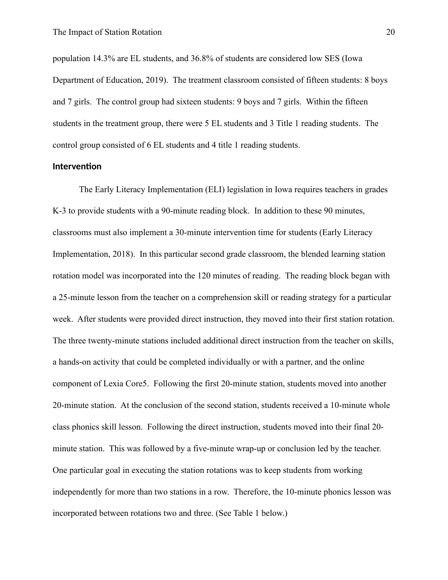population 14.3% are EL students, and 36.8% of students are considered low SES (Iowa Department of Education, 2019). The treatment classroom consisted of fifteen students: 8 boys and 7 girls. The control group had sixteen students: 9 boys and 7 girls. Within the fifteen students in the treatment group, there were 5 EL students and 3 Title 1 reading students. The control group consisted of 6 EL students and 4 title 1 reading students.

#### <span id="page-20-0"></span>**Intervention**

The Early Literacy Implementation (ELI) legislation in Iowa requires teachers in grades K-3 to provide students with a 90-minute reading block. In addition to these 90 minutes, classrooms must also implement a 30-minute intervention time for students (Early Literacy Implementation, 2018). In this particular second grade classroom, the blended learning station rotation model was incorporated into the 120 minutes of reading. The reading block began with a 25-minute lesson from the teacher on a comprehension skill or reading strategy for a particular week. After students were provided direct instruction, they moved into their first station rotation. The three twenty-minute stations included additional direct instruction from the teacher on skills, a hands-on activity that could be completed individually or with a partner, and the online component of Lexia Core5. Following the first 20-minute station, students moved into another 20-minute station. At the conclusion of the second station, students received a 10-minute whole class phonics skill lesson. Following the direct instruction, students moved into their final 20 minute station. This was followed by a five-minute wrap-up or conclusion led by the teacher. One particular goal in executing the station rotations was to keep students from working independently for more than two stations in a row. Therefore, the 10-minute phonics lesson was incorporated between rotations two and three. (See Table 1 below.)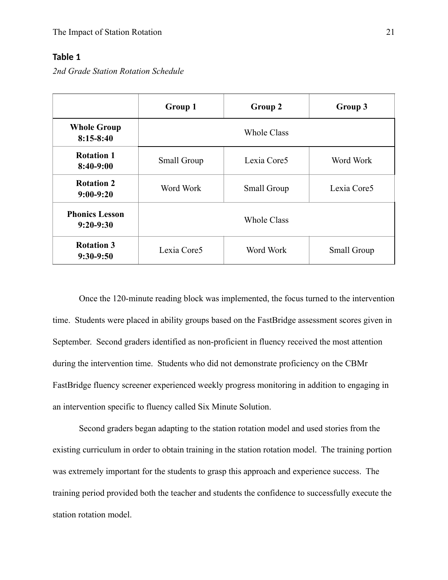## <span id="page-21-0"></span>**Table 1**

*2nd Grade Station Rotation Schedule*

|                                      | Group 1                                 | Group 2     | Group 3     |  |
|--------------------------------------|-----------------------------------------|-------------|-------------|--|
| <b>Whole Group</b><br>$8:15-8:40$    | <b>Whole Class</b>                      |             |             |  |
| <b>Rotation 1</b><br>$8:40-9:00$     | Small Group                             | Lexia Core5 | Word Work   |  |
| <b>Rotation 2</b><br>$9:00-9:20$     | Word Work<br>Small Group                |             | Lexia Core5 |  |
| <b>Phonics Lesson</b><br>$9:20-9:30$ | <b>Whole Class</b>                      |             |             |  |
| <b>Rotation 3</b><br>$9:30-9:50$     | Lexia Core5<br>Word Work<br>Small Group |             |             |  |

Once the 120-minute reading block was implemented, the focus turned to the intervention time. Students were placed in ability groups based on the FastBridge assessment scores given in September. Second graders identified as non-proficient in fluency received the most attention during the intervention time. Students who did not demonstrate proficiency on the CBMr FastBridge fluency screener experienced weekly progress monitoring in addition to engaging in an intervention specific to fluency called Six Minute Solution.

Second graders began adapting to the station rotation model and used stories from the existing curriculum in order to obtain training in the station rotation model. The training portion was extremely important for the students to grasp this approach and experience success. The training period provided both the teacher and students the confidence to successfully execute the station rotation model.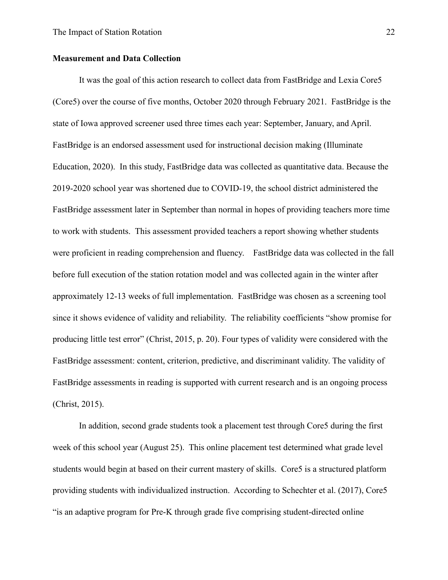#### <span id="page-22-0"></span>**Measurement and Data Collection**

It was the goal of this action research to collect data from FastBridge and Lexia Core5 (Core5) over the course of five months, October 2020 through February 2021. FastBridge is the state of Iowa approved screener used three times each year: September, January, and April. FastBridge is an endorsed assessment used for instructional decision making (Illuminate Education, 2020). In this study, FastBridge data was collected as quantitative data. Because the 2019-2020 school year was shortened due to COVID-19, the school district administered the FastBridge assessment later in September than normal in hopes of providing teachers more time to work with students. This assessment provided teachers a report showing whether students were proficient in reading comprehension and fluency. FastBridge data was collected in the fall before full execution of the station rotation model and was collected again in the winter after approximately 12-13 weeks of full implementation. FastBridge was chosen as a screening tool since it shows evidence of validity and reliability. The reliability coefficients "show promise for producing little test error" (Christ, 2015, p. 20). Four types of validity were considered with the FastBridge assessment: content, criterion, predictive, and discriminant validity. The validity of FastBridge assessments in reading is supported with current research and is an ongoing process (Christ, 2015).

In addition, second grade students took a placement test through Core5 during the first week of this school year (August 25). This online placement test determined what grade level students would begin at based on their current mastery of skills. Core5 is a structured platform providing students with individualized instruction. According to Schechter et al. (2017), Core5 "is an adaptive program for Pre-K through grade five comprising student-directed online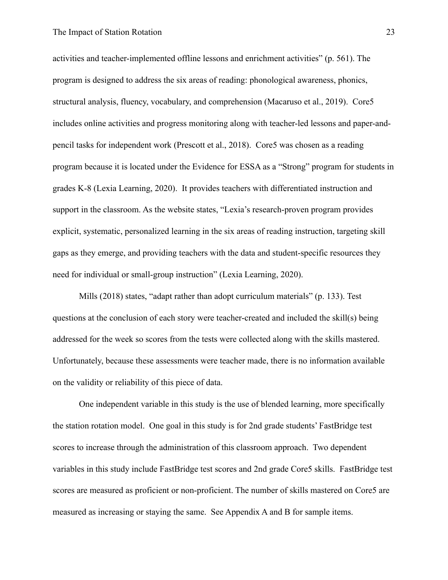#### The Impact of Station Rotation 23

activities and teacher-implemented offline lessons and enrichment activities" (p. 561). The program is designed to address the six areas of reading: phonological awareness, phonics, structural analysis, fluency, vocabulary, and comprehension (Macaruso et al., 2019). Core5 includes online activities and progress monitoring along with teacher-led lessons and paper-andpencil tasks for independent work (Prescott et al., 2018). Core5 was chosen as a reading program because it is located under the Evidence for ESSA as a "Strong" program for students in grades K-8 (Lexia Learning, 2020). It provides teachers with differentiated instruction and support in the classroom. As the website states, "Lexia's research-proven program provides explicit, systematic, personalized learning in the six areas of reading instruction, targeting skill gaps as they emerge, and providing teachers with the data and student-specific resources they need for individual or small-group instruction" (Lexia Learning, 2020).

Mills (2018) states, "adapt rather than adopt curriculum materials" (p. 133). Test questions at the conclusion of each story were teacher-created and included the skill(s) being addressed for the week so scores from the tests were collected along with the skills mastered. Unfortunately, because these assessments were teacher made, there is no information available on the validity or reliability of this piece of data.

One independent variable in this study is the use of blended learning, more specifically the station rotation model. One goal in this study is for 2nd grade students' FastBridge test scores to increase through the administration of this classroom approach. Two dependent variables in this study include FastBridge test scores and 2nd grade Core5 skills. FastBridge test scores are measured as proficient or non-proficient. The number of skills mastered on Core5 are measured as increasing or staying the same. See Appendix A and B for sample items.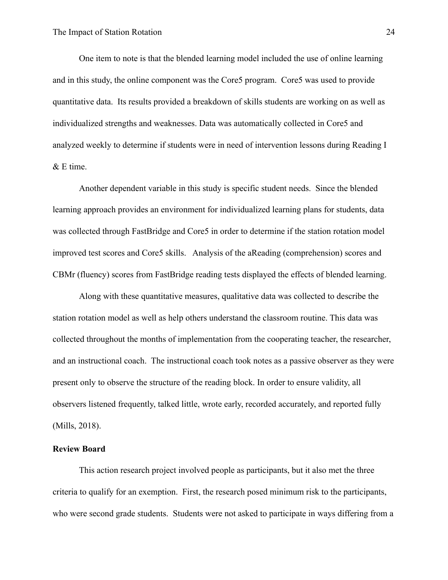One item to note is that the blended learning model included the use of online learning and in this study, the online component was the Core5 program. Core5 was used to provide quantitative data. Its results provided a breakdown of skills students are working on as well as individualized strengths and weaknesses. Data was automatically collected in Core5 and analyzed weekly to determine if students were in need of intervention lessons during Reading I & E time.

Another dependent variable in this study is specific student needs. Since the blended learning approach provides an environment for individualized learning plans for students, data was collected through FastBridge and Core5 in order to determine if the station rotation model improved test scores and Core5 skills. Analysis of the aReading (comprehension) scores and CBMr (fluency) scores from FastBridge reading tests displayed the effects of blended learning.

Along with these quantitative measures, qualitative data was collected to describe the station rotation model as well as help others understand the classroom routine. This data was collected throughout the months of implementation from the cooperating teacher, the researcher, and an instructional coach. The instructional coach took notes as a passive observer as they were present only to observe the structure of the reading block. In order to ensure validity, all observers listened frequently, talked little, wrote early, recorded accurately, and reported fully (Mills, 2018).

#### <span id="page-24-0"></span>**Review Board**

This action research project involved people as participants, but it also met the three criteria to qualify for an exemption. First, the research posed minimum risk to the participants, who were second grade students. Students were not asked to participate in ways differing from a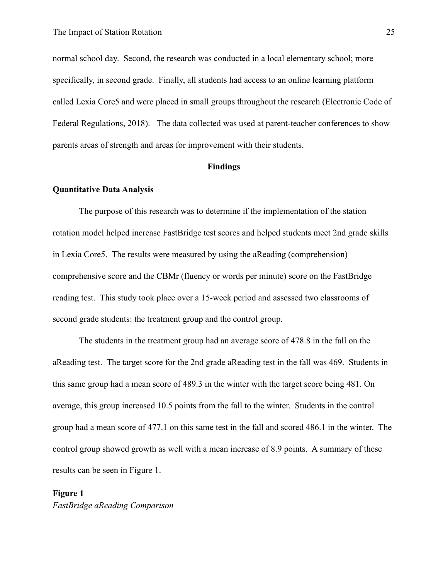normal school day. Second, the research was conducted in a local elementary school; more specifically, in second grade. Finally, all students had access to an online learning platform called Lexia Core5 and were placed in small groups throughout the research (Electronic Code of Federal Regulations, 2018). The data collected was used at parent-teacher conferences to show parents areas of strength and areas for improvement with their students.

#### **Findings**

#### <span id="page-25-0"></span>**Quantitative Data Analysis**

The purpose of this research was to determine if the implementation of the station rotation model helped increase FastBridge test scores and helped students meet 2nd grade skills in Lexia Core5. The results were measured by using the aReading (comprehension) comprehensive score and the CBMr (fluency or words per minute) score on the FastBridge reading test. This study took place over a 15-week period and assessed two classrooms of second grade students: the treatment group and the control group.

The students in the treatment group had an average score of 478.8 in the fall on the aReading test. The target score for the 2nd grade aReading test in the fall was 469. Students in this same group had a mean score of 489.3 in the winter with the target score being 481. On average, this group increased 10.5 points from the fall to the winter. Students in the control group had a mean score of 477.1 on this same test in the fall and scored 486.1 in the winter. The control group showed growth as well with a mean increase of 8.9 points. A summary of these results can be seen in Figure 1.

## <span id="page-25-1"></span>**Figure 1**  *FastBridge aReading Comparison*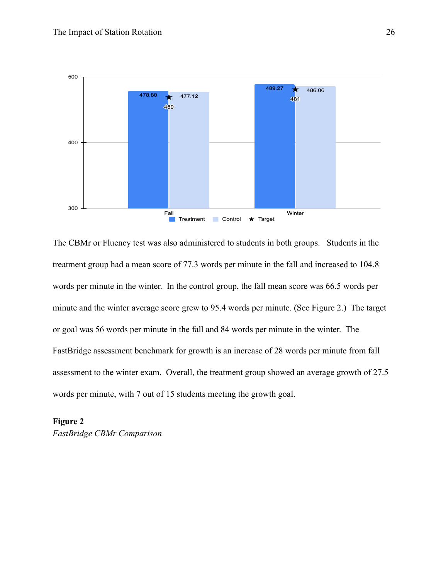

The CBMr or Fluency test was also administered to students in both groups. Students in the treatment group had a mean score of 77.3 words per minute in the fall and increased to 104.8 words per minute in the winter. In the control group, the fall mean score was 66.5 words per minute and the winter average score grew to 95.4 words per minute. (See Figure 2.) The target or goal was 56 words per minute in the fall and 84 words per minute in the winter. The FastBridge assessment benchmark for growth is an increase of 28 words per minute from fall assessment to the winter exam. Overall, the treatment group showed an average growth of 27.5 words per minute, with 7 out of 15 students meeting the growth goal.

<span id="page-26-0"></span>**Figure 2** 

*FastBridge CBMr Comparison*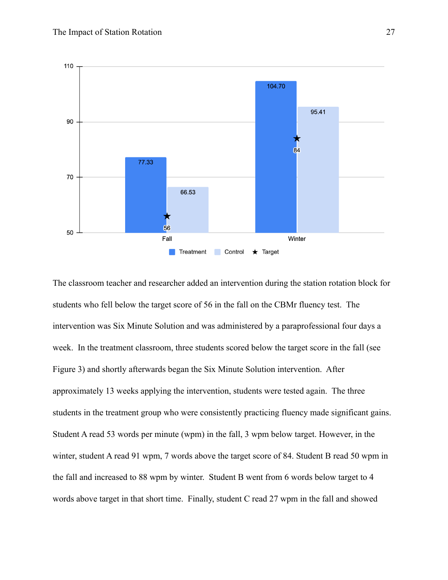

The classroom teacher and researcher added an intervention during the station rotation block for students who fell below the target score of 56 in the fall on the CBMr fluency test. The intervention was Six Minute Solution and was administered by a paraprofessional four days a week. In the treatment classroom, three students scored below the target score in the fall (see Figure 3) and shortly afterwards began the Six Minute Solution intervention. After approximately 13 weeks applying the intervention, students were tested again. The three students in the treatment group who were consistently practicing fluency made significant gains. Student A read 53 words per minute (wpm) in the fall, 3 wpm below target. However, in the winter, student A read 91 wpm, 7 words above the target score of 84. Student B read 50 wpm in the fall and increased to 88 wpm by winter. Student B went from 6 words below target to 4 words above target in that short time. Finally, student C read 27 wpm in the fall and showed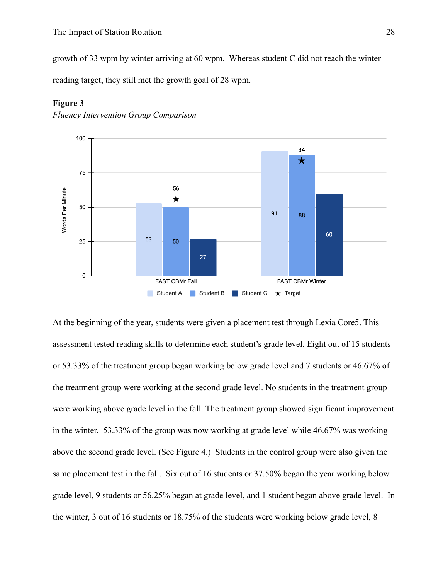growth of 33 wpm by winter arriving at 60 wpm. Whereas student C did not reach the winter reading target, they still met the growth goal of 28 wpm.



#### <span id="page-28-0"></span>**Figure 3**

*Fluency Intervention Group Comparison*

At the beginning of the year, students were given a placement test through Lexia Core5. This assessment tested reading skills to determine each student's grade level. Eight out of 15 students or 53.33% of the treatment group began working below grade level and 7 students or 46.67% of the treatment group were working at the second grade level. No students in the treatment group were working above grade level in the fall. The treatment group showed significant improvement in the winter. 53.33% of the group was now working at grade level while 46.67% was working above the second grade level. (See Figure 4.) Students in the control group were also given the same placement test in the fall. Six out of 16 students or 37.50% began the year working below grade level, 9 students or 56.25% began at grade level, and 1 student began above grade level. In the winter, 3 out of 16 students or 18.75% of the students were working below grade level, 8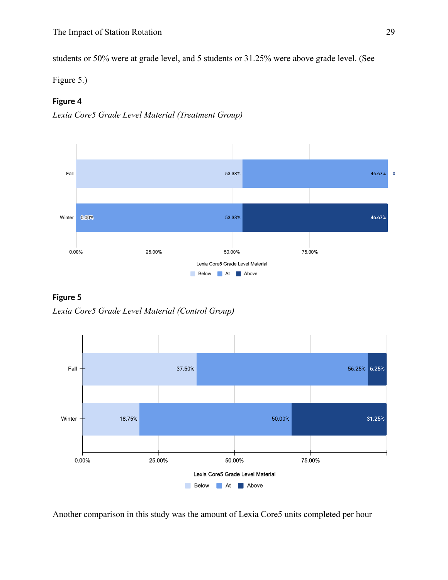students or 50% were at grade level, and 5 students or 31.25% were above grade level. (See

Figure 5.)

## <span id="page-29-0"></span>**Figure 4**





<span id="page-29-1"></span>



Another comparison in this study was the amount of Lexia Core5 units completed per hour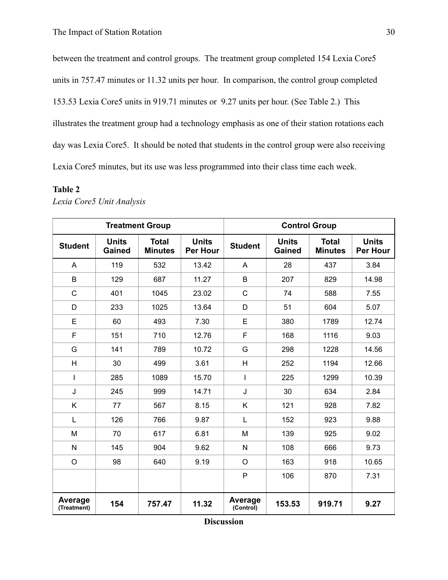between the treatment and control groups. The treatment group completed 154 Lexia Core5 units in 757.47 minutes or 11.32 units per hour. In comparison, the control group completed 153.53 Lexia Core5 units in 919.71 minutes or 9.27 units per hour. (See Table 2.) This illustrates the treatment group had a technology emphasis as one of their station rotations each day was Lexia Core5. It should be noted that students in the control group were also receiving Lexia Core5 minutes, but its use was less programmed into their class time each week.

#### <span id="page-30-0"></span>**Table 2**

| <b>Treatment Group</b> |                               |                                |                                 | <b>Control Group</b> |                               |                                |                                 |
|------------------------|-------------------------------|--------------------------------|---------------------------------|----------------------|-------------------------------|--------------------------------|---------------------------------|
| <b>Student</b>         | <b>Units</b><br><b>Gained</b> | <b>Total</b><br><b>Minutes</b> | <b>Units</b><br><b>Per Hour</b> | <b>Student</b>       | <b>Units</b><br><b>Gained</b> | <b>Total</b><br><b>Minutes</b> | <b>Units</b><br><b>Per Hour</b> |
| A                      | 119                           | 532                            | 13.42                           | A                    | 28                            | 437                            | 3.84                            |
| B                      | 129                           | 687                            | 11.27                           | B                    | 207                           | 829                            | 14.98                           |
| $\mathsf{C}$           | 401                           | 1045                           | 23.02                           | $\mathsf{C}$         | 74                            | 588                            | 7.55                            |
| D                      | 233                           | 1025                           | 13.64                           | D                    | 51                            | 604                            | 5.07                            |
| E                      | 60                            | 493                            | 7.30                            | E                    | 380                           | 1789                           | 12.74                           |
| F                      | 151                           | 710                            | 12.76                           | F                    | 168                           | 1116                           | 9.03                            |
| G                      | 141                           | 789                            | 10.72                           | G                    | 298                           | 1228                           | 14.56                           |
| H                      | 30                            | 499                            | 3.61                            | H                    | 252                           | 1194                           | 12.66                           |
| I                      | 285                           | 1089                           | 15.70                           | T                    | 225                           | 1299                           | 10.39                           |
| J                      | 245                           | 999                            | 14.71                           | J                    | 30                            | 634                            | 2.84                            |
| K                      | 77                            | 567                            | 8.15                            | K                    | 121                           | 928                            | 7.82                            |
| L                      | 126                           | 766                            | 9.87                            | L                    | 152                           | 923                            | 9.88                            |
| M                      | 70                            | 617                            | 6.81                            | M                    | 139                           | 925                            | 9.02                            |
| $\mathsf{N}$           | 145                           | 904                            | 9.62                            | N                    | 108                           | 666                            | 9.73                            |
| $\circ$                | 98                            | 640                            | 9.19                            | $\circ$              | 163                           | 918                            | 10.65                           |
|                        |                               |                                |                                 | P                    | 106                           | 870                            | 7.31                            |
| Average<br>(Treatment) | 154                           | 757.47                         | 11.32                           | Average<br>(Control) | 153.53                        | 919.71                         | 9.27                            |

*Lexia Core5 Unit Analysis*

**Discussion**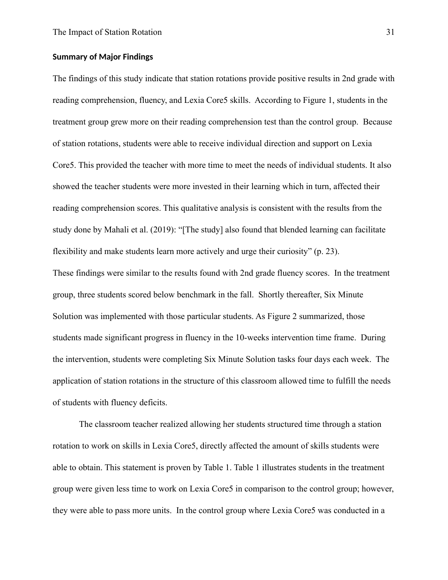#### <span id="page-31-0"></span>**Summary of Major Findings**

The findings of this study indicate that station rotations provide positive results in 2nd grade with reading comprehension, fluency, and Lexia Core5 skills. According to Figure 1, students in the treatment group grew more on their reading comprehension test than the control group. Because of station rotations, students were able to receive individual direction and support on Lexia Core5. This provided the teacher with more time to meet the needs of individual students. It also showed the teacher students were more invested in their learning which in turn, affected their reading comprehension scores. This qualitative analysis is consistent with the results from the study done by Mahali et al. (2019): "[The study] also found that blended learning can facilitate flexibility and make students learn more actively and urge their curiosity" (p. 23). These findings were similar to the results found with 2nd grade fluency scores. In the treatment group, three students scored below benchmark in the fall. Shortly thereafter, Six Minute Solution was implemented with those particular students. As Figure 2 summarized, those students made significant progress in fluency in the 10-weeks intervention time frame. During the intervention, students were completing Six Minute Solution tasks four days each week. The application of station rotations in the structure of this classroom allowed time to fulfill the needs of students with fluency deficits.

The classroom teacher realized allowing her students structured time through a station rotation to work on skills in Lexia Core5, directly affected the amount of skills students were able to obtain. This statement is proven by Table 1. Table 1 illustrates students in the treatment group were given less time to work on Lexia Core5 in comparison to the control group; however, they were able to pass more units. In the control group where Lexia Core5 was conducted in a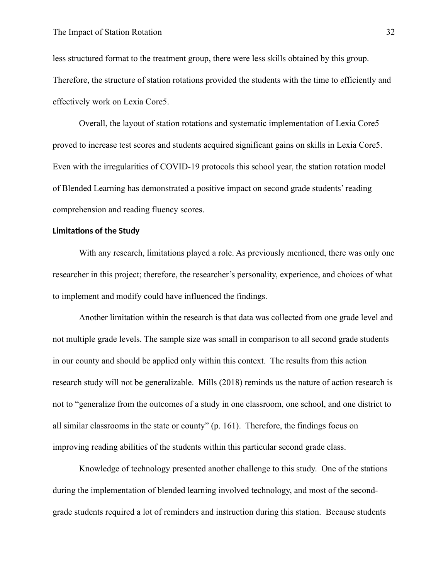less structured format to the treatment group, there were less skills obtained by this group. Therefore, the structure of station rotations provided the students with the time to efficiently and effectively work on Lexia Core5.

Overall, the layout of station rotations and systematic implementation of Lexia Core5 proved to increase test scores and students acquired significant gains on skills in Lexia Core5. Even with the irregularities of COVID-19 protocols this school year, the station rotation model of Blended Learning has demonstrated a positive impact on second grade students' reading comprehension and reading fluency scores.

#### <span id="page-32-0"></span>**Limitations of the Study**

With any research, limitations played a role. As previously mentioned, there was only one researcher in this project; therefore, the researcher's personality, experience, and choices of what to implement and modify could have influenced the findings.

Another limitation within the research is that data was collected from one grade level and not multiple grade levels. The sample size was small in comparison to all second grade students in our county and should be applied only within this context. The results from this action research study will not be generalizable. Mills (2018) reminds us the nature of action research is not to "generalize from the outcomes of a study in one classroom, one school, and one district to all similar classrooms in the state or county" (p. 161). Therefore, the findings focus on improving reading abilities of the students within this particular second grade class.

Knowledge of technology presented another challenge to this study. One of the stations during the implementation of blended learning involved technology, and most of the secondgrade students required a lot of reminders and instruction during this station. Because students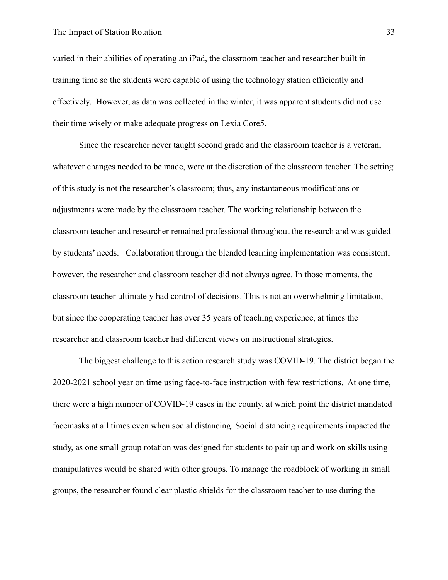#### The Impact of Station Rotation 33

varied in their abilities of operating an iPad, the classroom teacher and researcher built in training time so the students were capable of using the technology station efficiently and effectively. However, as data was collected in the winter, it was apparent students did not use their time wisely or make adequate progress on Lexia Core5.

Since the researcher never taught second grade and the classroom teacher is a veteran, whatever changes needed to be made, were at the discretion of the classroom teacher. The setting of this study is not the researcher's classroom; thus, any instantaneous modifications or adjustments were made by the classroom teacher. The working relationship between the classroom teacher and researcher remained professional throughout the research and was guided by students' needs. Collaboration through the blended learning implementation was consistent; however, the researcher and classroom teacher did not always agree. In those moments, the classroom teacher ultimately had control of decisions. This is not an overwhelming limitation, but since the cooperating teacher has over 35 years of teaching experience, at times the researcher and classroom teacher had different views on instructional strategies.

The biggest challenge to this action research study was COVID-19. The district began the 2020-2021 school year on time using face-to-face instruction with few restrictions. At one time, there were a high number of COVID-19 cases in the county, at which point the district mandated facemasks at all times even when social distancing. Social distancing requirements impacted the study, as one small group rotation was designed for students to pair up and work on skills using manipulatives would be shared with other groups. To manage the roadblock of working in small groups, the researcher found clear plastic shields for the classroom teacher to use during the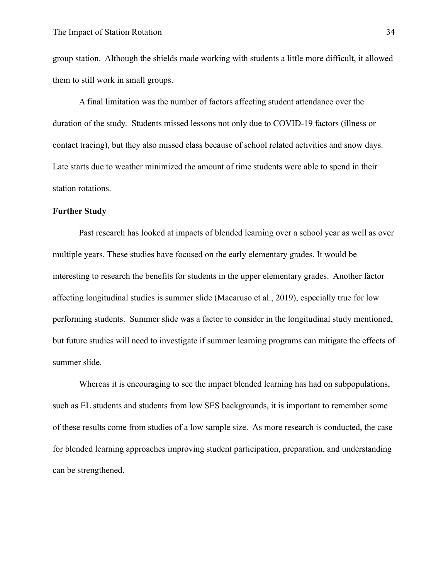group station. Although the shields made working with students a little more difficult, it allowed them to still work in small groups.

A final limitation was the number of factors affecting student attendance over the duration of the study. Students missed lessons not only due to COVID-19 factors (illness or contact tracing), but they also missed class because of school related activities and snow days. Late starts due to weather minimized the amount of time students were able to spend in their station rotations.

#### <span id="page-34-0"></span>**Further Study**

Past research has looked at impacts of blended learning over a school year as well as over multiple years. These studies have focused on the early elementary grades. It would be interesting to research the benefits for students in the upper elementary grades. Another factor affecting longitudinal studies is summer slide (Macaruso et al., 2019), especially true for low performing students. Summer slide was a factor to consider in the longitudinal study mentioned, but future studies will need to investigate if summer learning programs can mitigate the effects of summer slide.

Whereas it is encouraging to see the impact blended learning has had on subpopulations, such as EL students and students from low SES backgrounds, it is important to remember some of these results come from studies of a low sample size. As more research is conducted, the case for blended learning approaches improving student participation, preparation, and understanding can be strengthened.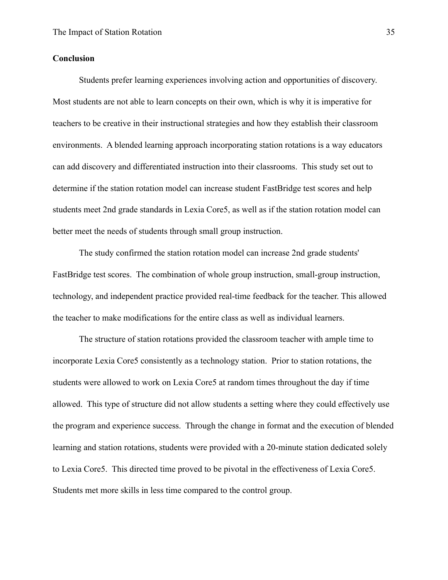#### <span id="page-35-0"></span>**Conclusion**

Students prefer learning experiences involving action and opportunities of discovery. Most students are not able to learn concepts on their own, which is why it is imperative for teachers to be creative in their instructional strategies and how they establish their classroom environments. A blended learning approach incorporating station rotations is a way educators can add discovery and differentiated instruction into their classrooms. This study set out to determine if the station rotation model can increase student FastBridge test scores and help students meet 2nd grade standards in Lexia Core5, as well as if the station rotation model can better meet the needs of students through small group instruction.

The study confirmed the station rotation model can increase 2nd grade students' FastBridge test scores. The combination of whole group instruction, small-group instruction, technology, and independent practice provided real-time feedback for the teacher. This allowed the teacher to make modifications for the entire class as well as individual learners.

The structure of station rotations provided the classroom teacher with ample time to incorporate Lexia Core5 consistently as a technology station. Prior to station rotations, the students were allowed to work on Lexia Core5 at random times throughout the day if time allowed. This type of structure did not allow students a setting where they could effectively use the program and experience success. Through the change in format and the execution of blended learning and station rotations, students were provided with a 20-minute station dedicated solely to Lexia Core5. This directed time proved to be pivotal in the effectiveness of Lexia Core5. Students met more skills in less time compared to the control group.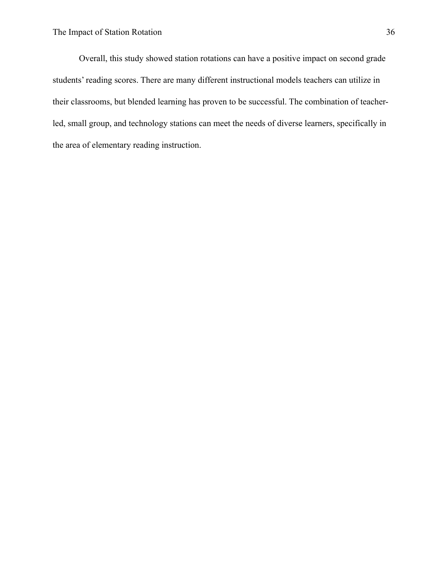Overall, this study showed station rotations can have a positive impact on second grade students' reading scores. There are many different instructional models teachers can utilize in their classrooms, but blended learning has proven to be successful. The combination of teacherled, small group, and technology stations can meet the needs of diverse learners, specifically in the area of elementary reading instruction.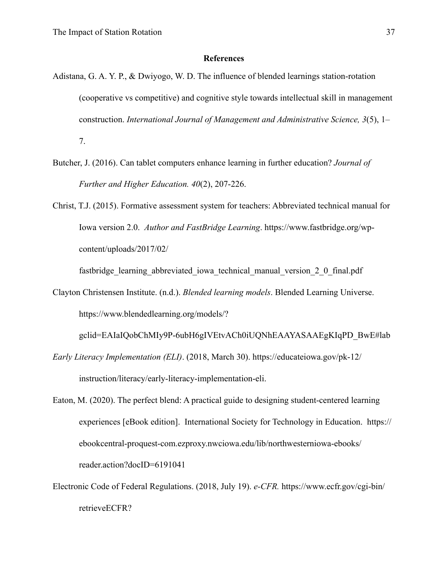#### **References**

- Adistana, G. A. Y. P., & Dwiyogo, W. D. The influence of blended learnings station-rotation (cooperative vs competitive) and cognitive style towards intellectual skill in management construction. *International Journal of Management and Administrative Science, 3*(5), 1– 7.
- Butcher, J. (2016). Can tablet computers enhance learning in further education? *Journal of Further and Higher Education. 40*(2), 207-226.
- Christ, T.J. (2015). Formative assessment system for teachers: Abbreviated technical manual for Iowa version 2.0. *Author and FastBridge Learning*. https://www.fastbridge.org/wpcontent/uploads/2017/02/

fastbridge\_learning\_abbreviated\_iowa\_technical\_manual\_version\_2\_0\_final.pdf

Clayton Christensen Institute. (n.d.). *Blended learning models*. Blended Learning Universe. https://www.blendedlearning.org/models/?

gclid=EAIaIQobChMIy9P-6ubH6gIVEtvACh0iUQNhEAAYASAAEgKIqPD\_BwE#lab

- *Early Literacy Implementation (ELI)*. (2018, March 30). https://educateiowa.gov/pk-12/ instruction/literacy/early-literacy-implementation-eli.
- Eaton, M. (2020). The perfect blend: A practical guide to designing student-centered learning experiences [eBook edition]. International Society for Technology in Education. https:// ebookcentral-proquest-com.ezproxy.nwciowa.edu/lib/northwesterniowa-ebooks/ reader.action?docID=6191041
- Electronic Code of Federal Regulations. (2018, July 19). *e-CFR.* https://www.ecfr.gov/cgi-bin/ retrieveECFR?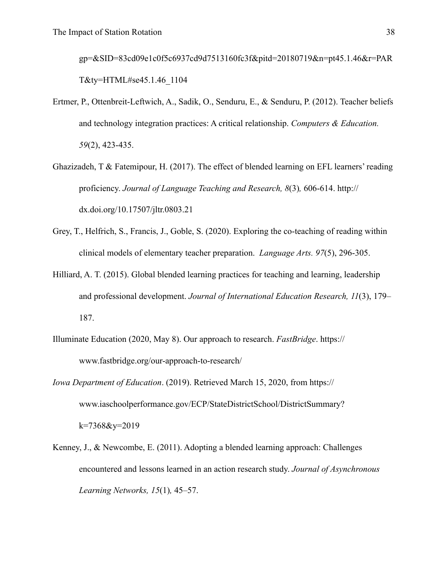gp=&SID=83cd09e1c0f5c6937cd9d7513160fc3f&pitd=20180719&n=pt45.1.46&r=PAR T&ty=HTML#se45.1.46\_1104

- Ertmer, P., Ottenbreit-Leftwich, A., Sadik, O., Senduru, E., & Senduru, P. (2012). Teacher beliefs and technology integration practices: A critical relationship. *Computers & Education. 59*(2), 423-435.
- Ghazizadeh, T & Fatemipour, H. (2017). The effect of blended learning on EFL learners' reading proficiency. *Journal of Language Teaching and Research, 8*(3)*,* 606-614. http:// dx.doi.org/10.17507/jltr.0803.21
- Grey, T., Helfrich, S., Francis, J., Goble, S. (2020). Exploring the co-teaching of reading within clinical models of elementary teacher preparation. *Language Arts. 97*(5), 296-305.
- Hilliard, A. T. (2015). Global blended learning practices for teaching and learning, leadership and professional development. *Journal of International Education Research, 11*(3), 179– 187.
- Illuminate Education (2020, May 8). Our approach to research. *FastBridge*. https:// www.fastbridge.org/our-approach-to-research/
- *Iowa Department of Education*. (2019). Retrieved March 15, 2020, from https:// www.iaschoolperformance.gov/ECP/StateDistrictSchool/DistrictSummary? k=7368&y=2019
- Kenney, J., & Newcombe, E. (2011). Adopting a blended learning approach: Challenges encountered and lessons learned in an action research study. *Journal of Asynchronous Learning Networks, 15*(1)*,* 45–57.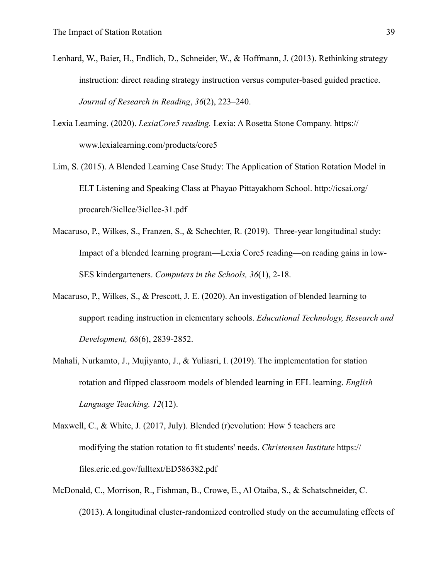- Lenhard, W., Baier, H., Endlich, D., Schneider, W., & Hoffmann, J. (2013). Rethinking strategy instruction: direct reading strategy instruction versus computer-based guided practice. *Journal of Research in Reading*, *36*(2), 223–240.
- Lexia Learning. (2020). *LexiaCore5 reading.* Lexia: A Rosetta Stone Company. https:// www.lexialearning.com/products/core5
- Lim, S. (2015). A Blended Learning Case Study: The Application of Station Rotation Model in ELT Listening and Speaking Class at Phayao Pittayakhom School. http://icsai.org/ procarch/3icllce/3icllce-31.pdf
- Macaruso, P., Wilkes, S., Franzen, S., & Schechter, R. (2019). Three-year longitudinal study: Impact of a blended learning program—Lexia Core5 reading—on reading gains in low-SES kindergarteners. *Computers in the Schools, 36*(1), 2-18.
- Macaruso, P., Wilkes, S., & Prescott, J. E. (2020). An investigation of blended learning to support reading instruction in elementary schools. *Educational Technology, Research and Development, 68*(6), 2839-2852.
- Mahali, Nurkamto, J., Mujiyanto, J., & Yuliasri, I. (2019). The implementation for station rotation and flipped classroom models of blended learning in EFL learning. *English Language Teaching. 12*(12).
- Maxwell, C., & White, J. (2017, July). Blended (r)evolution: How 5 teachers are modifying the station rotation to fit students' needs. *Christensen Institute* https:// files.eric.ed.gov/fulltext/ED586382.pdf
- McDonald, C., Morrison, R., Fishman, B., Crowe, E., Al Otaiba, S., & Schatschneider, C. (2013). A longitudinal cluster-randomized controlled study on the accumulating effects of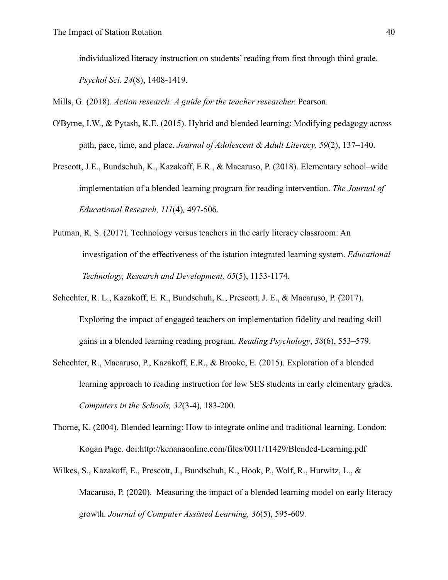individualized literacy instruction on students' reading from first through third grade.

*Psychol Sci. 24*(8), 1408-1419.

Mills, G. (2018). *Action research: A guide for the teacher researcher.* Pearson.

- O'Byrne, I.W., & Pytash, K.E. (2015). Hybrid and blended learning: Modifying pedagogy across path, pace, time, and place. *Journal of Adolescent & Adult Literacy, 59*(2), 137–140.
- Prescott, J.E., Bundschuh, K., Kazakoff, E.R., & Macaruso, P. (2018). Elementary school–wide implementation of a blended learning program for reading intervention. *The Journal of Educational Research, 111*(4)*,* 497-506.
- Putman, R. S. (2017). Technology versus teachers in the early literacy classroom: An investigation of the effectiveness of the istation integrated learning system. *Educational Technology, Research and Development, 65*(5), 1153-1174.
- Schechter, R. L., Kazakoff, E. R., Bundschuh, K., Prescott, J. E., & Macaruso, P. (2017). Exploring the impact of engaged teachers on implementation fidelity and reading skill gains in a blended learning reading program. *Reading Psychology*, *38*(6), 553–579.
- Schechter, R., Macaruso, P., Kazakoff, E.R., & Brooke, E. (2015). Exploration of a blended learning approach to reading instruction for low SES students in early elementary grades. *Computers in the Schools, 32*(3-4)*,* 183-200.
- Thorne, K. (2004). Blended learning: How to integrate online and traditional learning. London: Kogan Page. doi:http://kenanaonline.com/files/0011/11429/Blended-Learning.pdf
- Wilkes, S., Kazakoff, E., Prescott, J., Bundschuh, K., Hook, P., Wolf, R., Hurwitz, L., & Macaruso, P. (2020). Measuring the impact of a blended learning model on early literacy growth. *Journal of Computer Assisted Learning, 36*(5), 595-609.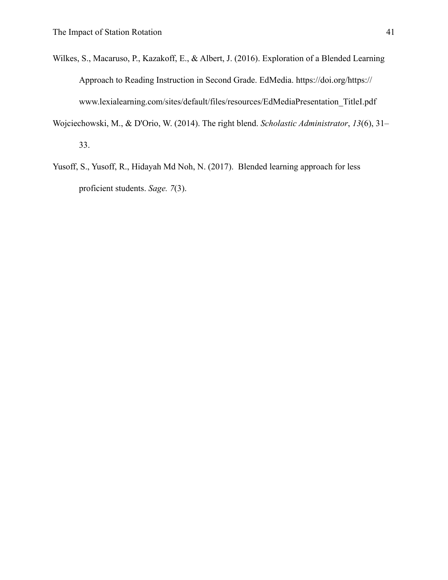- Wilkes, S., Macaruso, P., Kazakoff, E., & Albert, J. (2016). Exploration of a Blended Learning Approach to Reading Instruction in Second Grade. EdMedia. https://doi.org/https:// www.lexialearning.com/sites/default/files/resources/EdMediaPresentation\_TitleI.pdf
- Wojciechowski, M., & D'Orio, W. (2014). The right blend. *Scholastic Administrator*, *13*(6), 31– 33.
- Yusoff, S., Yusoff, R., Hidayah Md Noh, N. (2017). Blended learning approach for less proficient students. *Sage. 7*(3).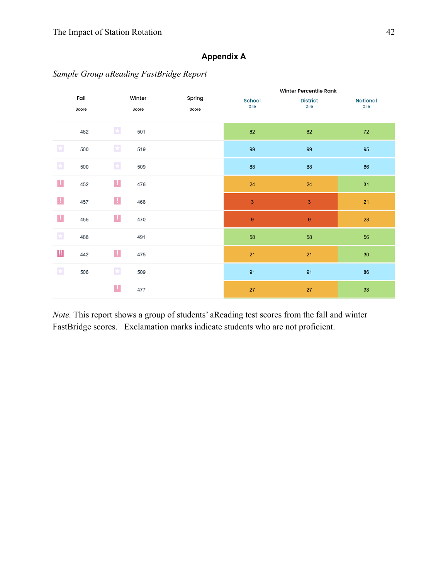## **Appendix A**

*Sample Group aReading FastBridge Report*

|                                           |               |              |                 |                 | Winter Percentile Rank |                         |                         |
|-------------------------------------------|---------------|--------------|-----------------|-----------------|------------------------|-------------------------|-------------------------|
|                                           | Fall<br>Score |              | Winter<br>Score | Spring<br>Score | School<br>%ile         | <b>District</b><br>%ile | <b>National</b><br>%ile |
|                                           |               |              |                 |                 |                        |                         |                         |
|                                           | 482           | $\star$      | 501             |                 | 82                     | 82                      | $72\,$                  |
| $\star$                                   | 500           | $\bigstar$   | 519             |                 | 99                     | 99                      | 95                      |
| $\star$                                   | 500           | $\bigstar$   | 509             |                 | 88                     | 88                      | 86                      |
| Ţ.                                        | 452           | $\mathbf{I}$ | 476             |                 | 24                     | 24                      | 31                      |
| Ţ,                                        | 457           | J.           | 468             |                 | 3                      | $\mathsf 3$             | 21                      |
| J,                                        | 455           | Ţ,           | 470             |                 | $\boldsymbol{9}$       | 9                       | 23                      |
| $\star$                                   | 488           |              | 491             |                 | 58                     | 58                      | 56                      |
| $\begin{array}{c} \text{III} \end{array}$ | 442           | L            | 475             |                 | 21                     | 21                      | $30\,$                  |
| $\star$                                   | 506           | $\star$      | 509             |                 | 91                     | 91                      | 86                      |
|                                           |               | J,           | 477             |                 | 27                     | 27                      | 33                      |

*Note.* This report shows a group of students' aReading test scores from the fall and winter FastBridge scores. Exclamation marks indicate students who are not proficient.